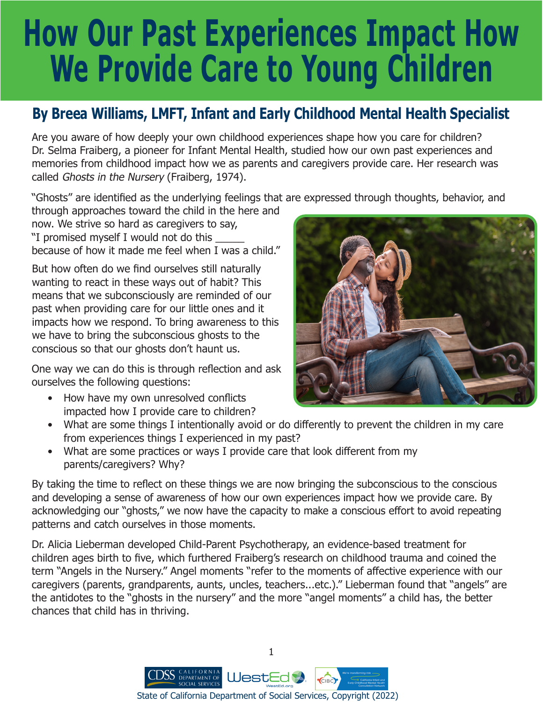## **How Our Past Experiences Impact How We Provide Care to Young Children**

## **By Breea Williams, LMFT, Infant and Early Childhood Mental Health Specialist**

Are you aware of how deeply your own childhood experiences shape how you care for children? Dr. Selma Fraiberg, a pioneer for Infant Mental Health, studied how our own past experiences and memories from childhood impact how we as parents and caregivers provide care. Her research was called Ghosts in the Nursery (Fraiberg, 1974).

"Ghosts" are identified as the underlying feelings that are expressed through thoughts, behavior, and

through approaches toward the child in the here and now. We strive so hard as caregivers to say, "I promised myself I would not do this \_\_\_\_\_ because of how it made me feel when I was a child."

But how often do we find ourselves still naturally wanting to react in these ways out of habit? This means that we subconsciously are reminded of our past when providing care for our little ones and it impacts how we respond. To bring awareness to this we have to bring the subconscious ghosts to the conscious so that our ghosts don't haunt us.

One way we can do this is through reflection and ask ourselves the following questions:

• How have my own unresolved conflicts impacted how I provide care to children?



- What are some things I intentionally avoid or do differently to prevent the children in my care from experiences things I experienced in my past?
- What are some practices or ways I provide care that look different from my parents/caregivers? Why?

By taking the time to reflect on these things we are now bringing the subconscious to the conscious and developing a sense of awareness of how our own experiences impact how we provide care. By acknowledging our "ghosts," we now have the capacity to make a conscious effort to avoid repeating patterns and catch ourselves in those moments.

Dr. Alicia Lieberman developed Child-Parent Psychotherapy, an evidence-based treatment for children ages birth to five, which furthered Fraiberg's research on childhood trauma and coined the term "Angels in the Nursery." Angel moments "refer to the moments of affective experience with our caregivers (parents, grandparents, aunts, uncles, teachers...etc.)." Lieberman found that "angels" are the antidotes to the "ghosts in the nursery" and the more "angel moments" a child has, the better chances that child has in thriving.